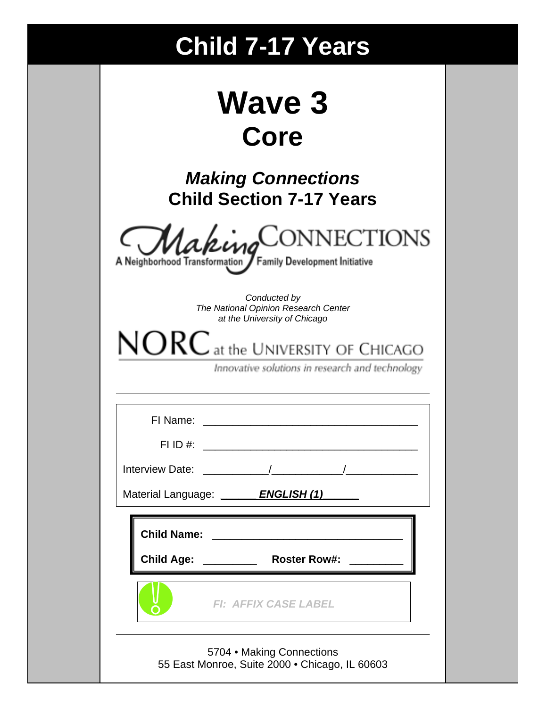# **Child 7-17 Years**

| <b>Wave 3</b> |  |
|---------------|--|
| Core          |  |

*Making Connections* **Child Section 7-17 Years** 

|  |  |  |  |  |  |  | MakingCONNECTIONS |
|--|--|--|--|--|--|--|-------------------|
|  |  |  |  |  |  |  |                   |

A Neighborhood Transformation / Family Development Initiative

*Conducted by The National Opinion Research Center at the University of Chicago* 

 $NORC$  at the UNIVERSITY OF CHICAGO

Innovative solutions in research and technology

| FI Name: <u>____________________________</u> |
|----------------------------------------------|
|                                              |
| Material Language: <b>ENGLISH (1)</b>        |
| Child Name: <u>_______________________</u>   |
| Child Age: ____________ Roster Row#:         |
| <b>FI: AFFIX CASE LABEL</b>                  |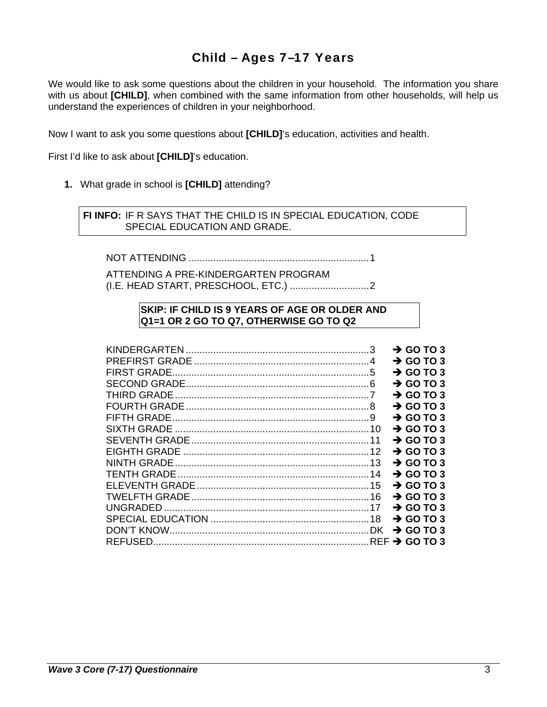# Child – Ages 7–17 Years

We would like to ask some questions about the children in your household. The information you share with us about **[CHILD]**, when combined with the same information from other households, will help us understand the experiences of children in your neighborhood.

Now I want to ask you some questions about **[CHILD]**'s education, activities and health.

First I'd like to ask about **[CHILD]**'s education.

**1.** What grade in school is **[CHILD]** attending?

 **FI INFO:** IF R SAYS THAT THE CHILD IS IN SPECIAL EDUCATION, CODE SPECIAL EDUCATION AND GRADE.

NOT ATTENDING .................................................................. 1

ATTENDING A PRE-KINDERGARTEN PROGRAM (I.E. HEAD START, PRESCHOOL, ETC.) ............................. 2

#### **SKIP: IF CHILD IS 9 YEARS OF AGE OR OLDER AND Q1=1 OR 2 GO TO Q7, OTHERWISE GO TO Q2**

|                     | 3 | $\rightarrow$ GO TO 3 |
|---------------------|---|-----------------------|
|                     |   | $\rightarrow$ GO TO 3 |
| FIRST GRADE.        |   | $\rightarrow$ GO TO 3 |
|                     |   | $\rightarrow$ GO TO 3 |
|                     |   | $\rightarrow$ GO TO 3 |
|                     |   | $\rightarrow$ GO TO 3 |
| <b>FIFTH GRADE.</b> |   | $\rightarrow$ GO TO 3 |
|                     |   | $\rightarrow$ GO TO 3 |
|                     |   | $\rightarrow$ GO TO 3 |
|                     |   | $\rightarrow$ GO TO 3 |
|                     |   | $\rightarrow$ GO TO 3 |
|                     |   | $\rightarrow$ GO TO 3 |
|                     |   | $\rightarrow$ GO TO 3 |
|                     |   | $\rightarrow$ GO TO 3 |
|                     |   | $\rightarrow$ GO TO 3 |
|                     |   | $\rightarrow$ GO TO 3 |
|                     |   | $\rightarrow$ GO TO 3 |
|                     |   |                       |
|                     |   |                       |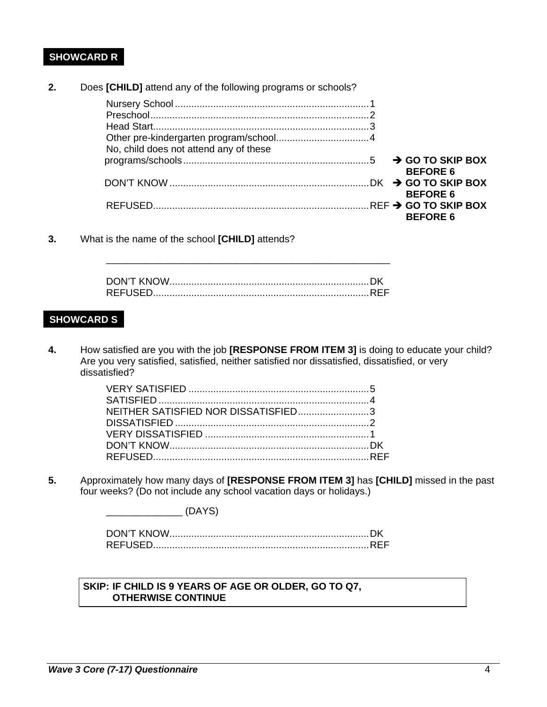# **SHOWCARD R**

**2.** Does **[CHILD]** attend any of the following programs or schools?

| No, child does not attend any of these |                 |
|----------------------------------------|-----------------|
|                                        | <b>BEFORE 6</b> |
|                                        | <b>BEFORE 6</b> |
|                                        | <b>BEFORE 6</b> |

**3.** What is the name of the school **[CHILD]** attends?

\_\_\_\_\_\_\_\_\_\_\_\_\_\_\_\_\_\_\_\_\_\_\_\_\_\_\_\_\_\_\_\_\_\_\_\_\_\_\_\_\_\_\_\_\_\_\_\_\_\_\_\_

### **SHOWCARD S**

**4.** How satisfied are you with the job **[RESPONSE FROM ITEM 3]** is doing to educate your child? Are you very satisfied, satisfied, neither satisfied nor dissatisfied, dissatisfied, or very dissatisfied?

| NEITHER SATISFIED NOR DISSATISFIED3 |  |
|-------------------------------------|--|
|                                     |  |
|                                     |  |
|                                     |  |
|                                     |  |

**5.** Approximately how many days of **[RESPONSE FROM ITEM 3]** has **[CHILD]** missed in the past four weeks? (Do not include any school vacation days or holidays.)

 $(DAYS)$ 

#### **SKIP: IF CHILD IS 9 YEARS OF AGE OR OLDER, GO TO Q7, OTHERWISE CONTINUE**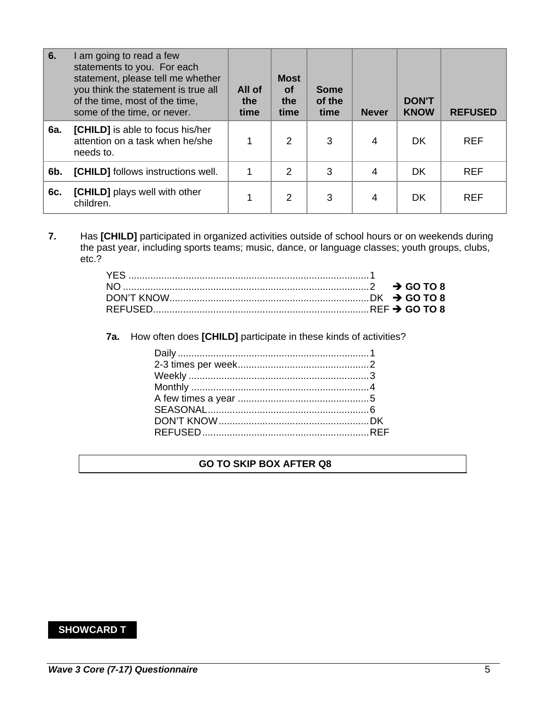| 6.  | am going to read a few<br>statements to you. For each<br>statement, please tell me whether<br>you think the statement is true all<br>of the time, most of the time,<br>some of the time, or never. | All of<br>the<br>time | <b>Most</b><br><b>of</b><br>the<br>time | <b>Some</b><br>of the<br>time | <b>Never</b> | <b>DON'T</b><br><b>KNOW</b> | <b>REFUSED</b> |
|-----|----------------------------------------------------------------------------------------------------------------------------------------------------------------------------------------------------|-----------------------|-----------------------------------------|-------------------------------|--------------|-----------------------------|----------------|
| 6a. | [CHILD] is able to focus his/her<br>attention on a task when he/she<br>needs to.                                                                                                                   |                       | 2                                       | 3                             | 4            | <b>DK</b>                   | <b>REF</b>     |
| 6b. | [CHILD] follows instructions well.                                                                                                                                                                 |                       | 2                                       | 3                             | 4            | DK                          | <b>REF</b>     |
| 6c. | [CHILD] plays well with other<br>children.                                                                                                                                                         |                       | 2                                       | 3                             | 4            | DK                          | <b>REF</b>     |

**7.** Has **[CHILD]** participated in organized activities outside of school hours or on weekends during the past year, including sports teams; music, dance, or language classes; youth groups, clubs, etc.?

**7a.** How often does **[CHILD]** participate in these kinds of activities?

## **GO TO SKIP BOX AFTER Q8**

## **SHOWCARD T**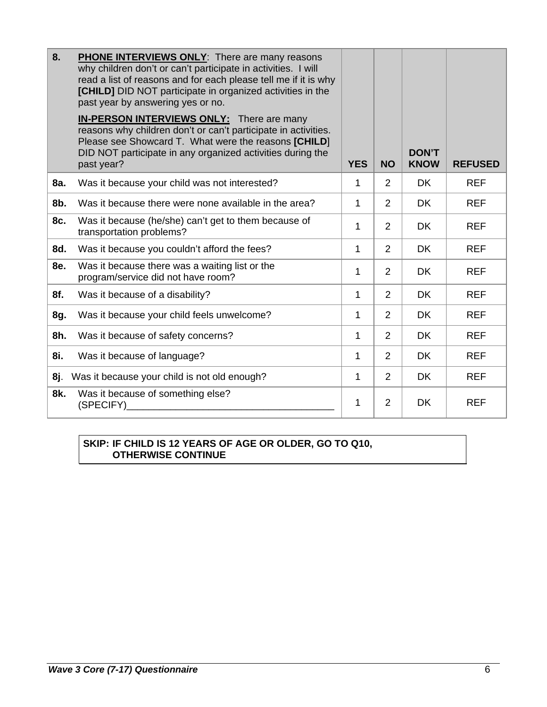| 8.  | <b>PHONE INTERVIEWS ONLY:</b> There are many reasons<br>why children don't or can't participate in activities. I will<br>read a list of reasons and for each please tell me if it is why<br>[CHILD] DID NOT participate in organized activities in the<br>past year by answering yes or no. |            |                |                             |                |
|-----|---------------------------------------------------------------------------------------------------------------------------------------------------------------------------------------------------------------------------------------------------------------------------------------------|------------|----------------|-----------------------------|----------------|
|     | <b>IN-PERSON INTERVIEWS ONLY:</b> There are many<br>reasons why children don't or can't participate in activities.<br>Please see Showcard T. What were the reasons [CHILD]<br>DID NOT participate in any organized activities during the<br>past year?                                      | <b>YES</b> | <b>NO</b>      | <b>DON'T</b><br><b>KNOW</b> | <b>REFUSED</b> |
| 8a. | Was it because your child was not interested?                                                                                                                                                                                                                                               | 1          | 2              | <b>DK</b>                   | <b>REF</b>     |
| 8b. | Was it because there were none available in the area?                                                                                                                                                                                                                                       | 1          | $\overline{2}$ | <b>DK</b>                   | <b>REF</b>     |
| 8c. | Was it because (he/she) can't get to them because of<br>transportation problems?                                                                                                                                                                                                            | 1          | $\overline{2}$ | <b>DK</b>                   | <b>REF</b>     |
| 8d. | Was it because you couldn't afford the fees?                                                                                                                                                                                                                                                | 1          | 2              | DK.                         | <b>REF</b>     |
| 8e. | Was it because there was a waiting list or the<br>program/service did not have room?                                                                                                                                                                                                        | 1          | $\overline{2}$ | <b>DK</b>                   | <b>REF</b>     |
| 8f. | Was it because of a disability?                                                                                                                                                                                                                                                             | 1          | $\overline{2}$ | <b>DK</b>                   | <b>REF</b>     |
| 8g. | Was it because your child feels unwelcome?                                                                                                                                                                                                                                                  | 1          | $\overline{2}$ | <b>DK</b>                   | <b>REF</b>     |
| 8h. | Was it because of safety concerns?                                                                                                                                                                                                                                                          | 1          | $\overline{2}$ | <b>DK</b>                   | <b>REF</b>     |
| 8i. | Was it because of language?                                                                                                                                                                                                                                                                 | 1          | $\overline{2}$ | <b>DK</b>                   | <b>REF</b>     |
| 8j. | Was it because your child is not old enough?                                                                                                                                                                                                                                                | 1          | 2              | <b>DK</b>                   | <b>REF</b>     |
| 8k. | Was it because of something else?<br>(SPECIFY)                                                                                                                                                                                                                                              | 1          | $\overline{2}$ | <b>DK</b>                   | <b>REF</b>     |

## **SKIP: IF CHILD IS 12 YEARS OF AGE OR OLDER, GO TO Q10, OTHERWISE CONTINUE**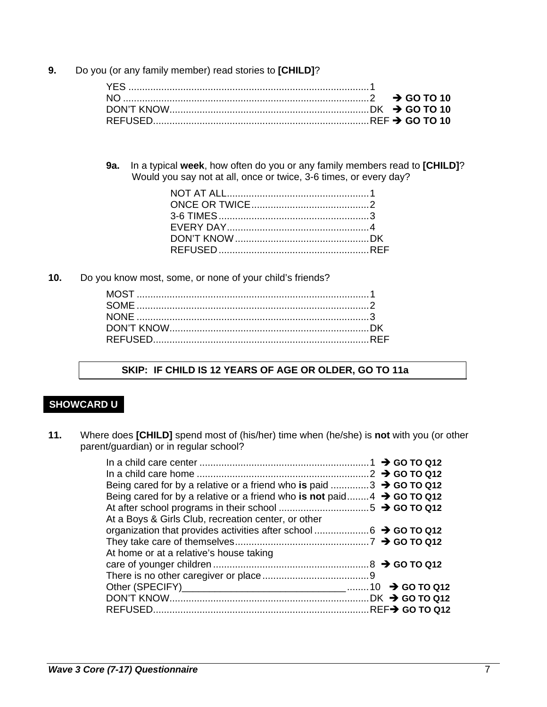**9.** Do you (or any family member) read stories to **[CHILD]**?

**9a.** In a typical **week**, how often do you or any family members read to **[CHILD]**? Would you say not at all, once or twice, 3-6 times, or every day?

**10.** Do you know most, some, or none of your child's friends?

### **SKIP: IF CHILD IS 12 YEARS OF AGE OR OLDER, GO TO 11a**

## **SHOWCARD U**

**11.** Where does **[CHILD]** spend most of (his/her) time when (he/she) is **not** with you (or other parent/guardian) or in regular school?

| Being cared for by a relative or a friend who is paid 3 $\rightarrow$ GO TO Q12     |  |
|-------------------------------------------------------------------------------------|--|
| Being cared for by a relative or a friend who is not paid $4 \rightarrow$ GO TO Q12 |  |
|                                                                                     |  |
| At a Boys & Girls Club, recreation center, or other                                 |  |
| organization that provides activities after school 6 → GO TO Q12                    |  |
|                                                                                     |  |
| At home or at a relative's house taking                                             |  |
|                                                                                     |  |
|                                                                                     |  |
|                                                                                     |  |
|                                                                                     |  |
|                                                                                     |  |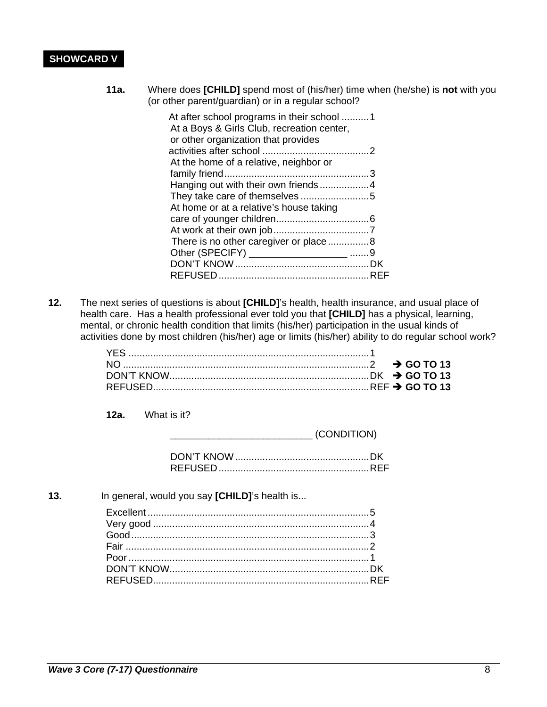## **SHOWCARD V**

**11a.** Where does **[CHILD]** spend most of (his/her) time when (he/she) is **not** with you (or other parent/guardian) or in a regular school?

| At after school programs in their school 1<br>At a Boys & Girls Club, recreation center, |  |
|------------------------------------------------------------------------------------------|--|
| or other organization that provides                                                      |  |
|                                                                                          |  |
| At the home of a relative, neighbor or                                                   |  |
|                                                                                          |  |
|                                                                                          |  |
|                                                                                          |  |
| At home or at a relative's house taking                                                  |  |
|                                                                                          |  |
|                                                                                          |  |
| There is no other caregiver or place8                                                    |  |
|                                                                                          |  |
|                                                                                          |  |
|                                                                                          |  |

**12.** The next series of questions is about **[CHILD]**'s health, health insurance, and usual place of health care. Has a health professional ever told you that **[CHILD]** has a physical, learning, mental, or chronic health condition that limits (his/her) participation in the usual kinds of activities done by most children (his/her) age or limits (his/her) ability to do regular school work?

**12a.** What is it?

 $\overline{C}$  (CONDITION)

**13.** In general, would you say **[CHILD]**'s health is... Excellent ................................................................................. 5 Very good ............................................................................... 4 Good ....................................................................................... 3 Fair ......................................................................................... 2 Poor ........................................................................................ 1 DON'T KNOW ......................................................................... DK REFUSED............................................................................... REF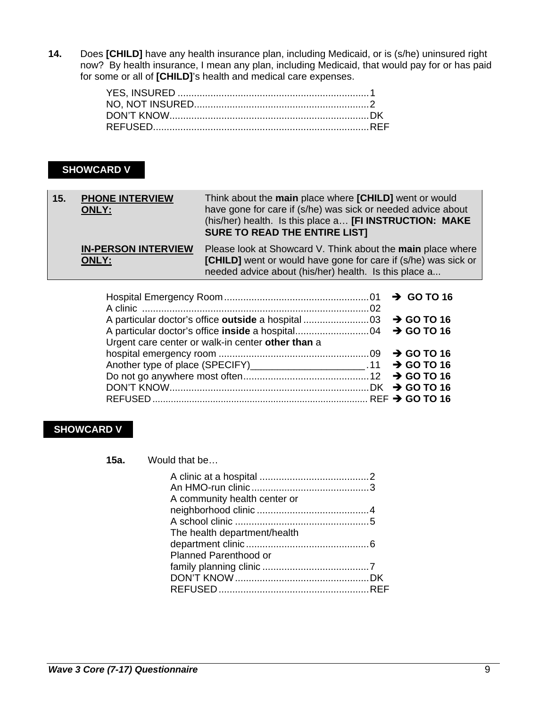**14.** Does **[CHILD]** have any health insurance plan, including Medicaid, or is (s/he) uninsured right now? By health insurance, I mean any plan, including Medicaid, that would pay for or has paid for some or all of **[CHILD]**'s health and medical care expenses.

## **SHOWCARD V**

| $\vert$ 15. | <b>PHONE INTERVIEW</b><br><b>ONLY:</b> | Think about the main place where [CHILD] went or would<br>have gone for care if (s/he) was sick or needed advice about<br>(his/her) health. Is this place a [FI INSTRUCTION: MAKE<br><b>SURE TO READ THE ENTIRE LIST]</b> |
|-------------|----------------------------------------|---------------------------------------------------------------------------------------------------------------------------------------------------------------------------------------------------------------------------|
|             | <b>IN-PERSON INTERVIEW</b><br>ONLY:    | Please look at Showcard V. Think about the main place where<br><b>[CHILD]</b> went or would have gone for care if (s/he) was sick or<br>needed advice about (his/her) health. Is this place a                             |

| Urgent care center or walk-in center other than a                     |  |
|-----------------------------------------------------------------------|--|
|                                                                       |  |
| Another type of place (SPECIFY)________________________.11 → GO TO 16 |  |
|                                                                       |  |
|                                                                       |  |
|                                                                       |  |

## **SHOWCARD V**

**15a.** Would that be…

| A community health center or |  |
|------------------------------|--|
|                              |  |
|                              |  |
| The health department/health |  |
|                              |  |
| <b>Planned Parenthood or</b> |  |
|                              |  |
|                              |  |
|                              |  |